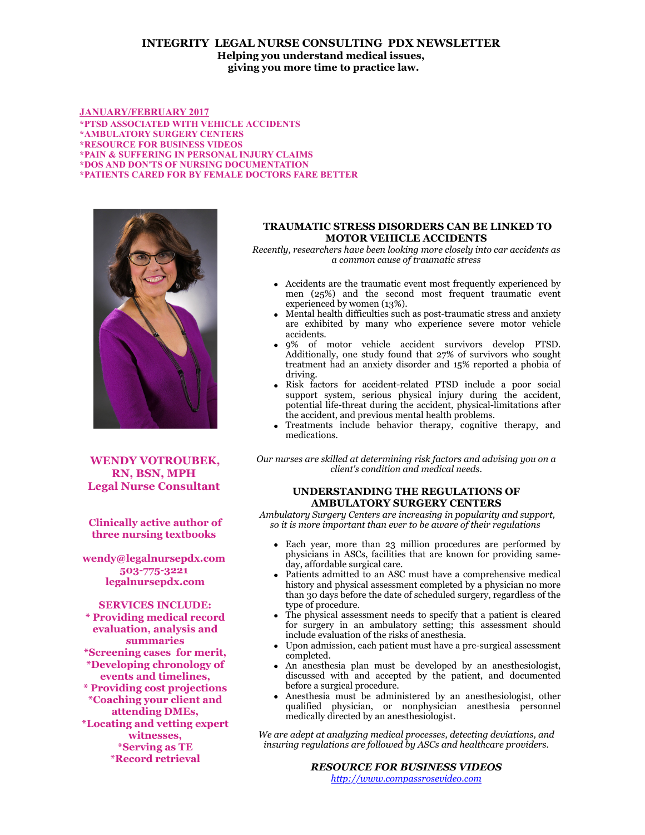# **INTEGRITY LEGAL NURSE CONSULTING PDX NEWSLETTER Helping you understand medical issues, giving you more time to practice law.**

**JANUARY/FEBRUARY 2017 \*PTSD ASSOCIATED WITH VEHICLE ACCIDENTS \*AMBULATORY SURGERY CENTERS \*RESOURCE FOR BUSINESS VIDEOS \*PAIN & SUFFERING IN PERSONAL INJURY CLAIMS \*DOS AND DON'TS OF NURSING DOCUMENTATION \*PATIENTS CARED FOR BY FEMALE DOCTORS FARE BETTER**



**WENDY VOTROUBEK, RN, BSN, MPH Legal Nurse Consultant** 

**Clinically active author of three nursing textbooks** 

**wendy@legalnursepdx.com 503-775-3221 legalnursepdx.com**

**SERVICES INCLUDE: \* Providing medical record evaluation, analysis and summaries \*Screening cases for merit, \*Developing chronology of events and timelines, \* Providing cost projections \*Coaching your client and attending DMEs, \*Locating and vetting expert witnesses, \*Serving as TE \*Record retrieval**

## **TRAUMATIC STRESS DISORDERS CAN BE LINKED TO MOTOR VEHICLE ACCIDENTS**

*Recently, researchers have been looking more closely into car accidents as a common cause of traumatic stress*

- Accidents are the traumatic event most frequently experienced by men (25%) and the second most frequent traumatic event experienced by women (13%).
- Mental health difficulties such as post-traumatic stress and anxiety are exhibited by many who experience severe motor vehicle accidents.
- 9% of motor vehicle accident survivors develop PTSD. Additionally, one study found that 27% of survivors who sought treatment had an anxiety disorder and 15% reported a phobia of driving.
- Risk factors for accident-related PTSD include a poor social support system, serious physical injury during the accident, potential life-threat during the accident, physical-limitations after the accident, and previous mental health problems.
- Treatments include behavior therapy, cognitive therapy, and medications.

*Our nurses are skilled at determining risk factors and advising you on a client's condition and medical needs.*

## **UNDERSTANDING THE REGULATIONS OF AMBULATORY SURGERY CENTERS**

 *Ambulatory Surgery Centers are increasing in popularity and support, so it is more important than ever to be aware of their regulations* 

- Each year, more than 23 million procedures are performed by physicians in ASCs, facilities that are known for providing sameday, affordable surgical care.
- Patients admitted to an ASC must have a comprehensive medical history and physical assessment completed by a physician no more than 30 days before the date of scheduled surgery, regardless of the type of procedure.
- The physical assessment needs to specify that a patient is cleared for surgery in an ambulatory setting; this assessment should include evaluation of the risks of anesthesia.
- Upon admission, each patient must have a pre-surgical assessment completed.
- An anesthesia plan must be developed by an anesthesiologist, discussed with and accepted by the patient, and documented before a surgical procedure.
- Anesthesia must be administered by an anesthesiologist, other qualified physician, or nonphysician anesthesia personnel medically directed by an anesthesiologist.

*We are adept at analyzing medical processes, detecting deviations, and insuring regulations are followed by ASCs and healthcare providers.*

> *RESOURCE FOR BUSINESS VIDEOS [http://www.compassrosevideo.com](http://www.compassrosevideo.com/)*